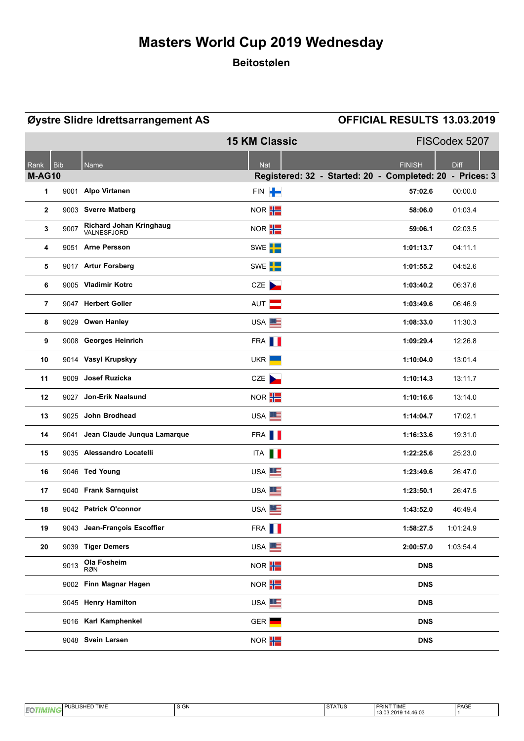### **Beitostølen**

| Øystre Slidre Idrettsarrangement AS |              |                                        | <b>OFFICIAL RESULTS 13.03.2019</b> |                                                          |  |
|-------------------------------------|--------------|----------------------------------------|------------------------------------|----------------------------------------------------------|--|
|                                     |              |                                        | <b>15 KM Classic</b>               | FISCodex 5207                                            |  |
| Rank                                | <b>Bib</b>   | Name                                   | <b>Nat</b>                         | <b>FINISH</b><br><b>Diff</b>                             |  |
| <b>M-AG10</b>                       |              |                                        |                                    | Registered: 32 - Started: 20 - Completed: 20 - Prices: 3 |  |
| 1                                   |              | 9001 Alpo Virtanen                     | FIN P                              | 57:02.6<br>00:00.0                                       |  |
|                                     | $\mathbf{2}$ | 9003 Sverre Matberg                    | NOR <b>H</b>                       | 58:06.0<br>01:03.4                                       |  |
|                                     | 9007<br>3    | Richard Johan Kringhaug<br>VALNESFJORD | NOR <b>H</b>                       | 59:06.1<br>02:03.5                                       |  |
|                                     | 4            | 9051 Arne Persson                      | SWE <sup>I</sup>                   | 1:01:13.7<br>04:11.1                                     |  |
|                                     | 5            | 9017 Artur Forsberg                    | SWE <sup>I</sup>                   | 1:01:55.2<br>04:52.6                                     |  |
| 6                                   |              | 9005 Vladimir Kotrc                    | CZE                                | 1:03:40.2<br>06:37.6                                     |  |
|                                     | 7            | 9047 Herbert Goller                    | AUT <b>N</b>                       | 1:03:49.6<br>06:46.9                                     |  |
| 8                                   |              | 9029 Owen Hanley                       | USA <sup>EE</sup>                  | 1:08:33.0<br>11:30.3                                     |  |
|                                     | 9            | 9008 Georges Heinrich                  | FRA <b>I</b>                       | 1:09:29.4<br>12:26.8                                     |  |
| 10                                  |              | 9014 Vasyl Krupskyy                    | UKR $\blacksquare$                 | 13:01.4<br>1:10:04.0                                     |  |
| 11                                  |              | 9009 Josef Ruzicka                     | CZE                                | 1:10:14.3<br>13:11.7                                     |  |
| 12                                  |              | 9027 Jon-Erik Naalsund                 | NOR <b>H</b>                       | 1:10:16.6<br>13:14.0                                     |  |
| 13                                  |              | 9025 John Brodhead                     | USA <sup>EE</sup>                  | 1:14:04.7<br>17:02.1                                     |  |
| 14                                  |              | 9041 Jean Claude Junqua Lamarque       | FRA <b>I</b>                       | 19:31.0<br>1:16:33.6                                     |  |
| 15                                  |              | 9035 Alessandro Locatelli              | ITA <b>II</b>                      | 1:22:25.6<br>25:23.0                                     |  |
| 16                                  |              | 9046 Ted Young                         | USA <sup>E</sup>                   | 1:23:49.6<br>26:47.0                                     |  |
| 17                                  |              | 9040 Frank Sarnquist                   | USA <sup>EE</sup>                  | 1:23:50.1<br>26:47.5                                     |  |
| 18                                  |              | 9042 Patrick O'connor                  | USA <sup>E</sup>                   | 1:43:52.0<br>46 49 4                                     |  |
| 19                                  |              | 9043 Jean-François Escoffier           | FRA <b>  </b>                      | 1:01:24.9<br>1:58:27.5                                   |  |
| 20                                  |              | 9039 Tiger Demers                      | USA <sup>E</sup>                   | 2:00:57.0<br>1:03:54.4                                   |  |
|                                     | 9013         | Ola Fosheim<br><b>RØN</b>              | NOR $\frac{1}{1}$                  | <b>DNS</b>                                               |  |
|                                     |              | 9002 Finn Magnar Hagen                 | NOR H                              | <b>DNS</b>                                               |  |
|                                     |              | 9045 Henry Hamilton                    | USA <sup>EE</sup>                  | <b>DNS</b>                                               |  |
|                                     |              | 9016 Karl Kamphenkel                   | GER <b>Lett</b>                    | <b>DNS</b>                                               |  |
|                                     |              | 9048 Svein Larsen                      | NOR <b>H</b>                       | <b>DNS</b>                                               |  |

|    | $-17.7$<br>$\overline{\phantom{0}}$<br><br>--<br>!IME<br>JB<br>- | $\sim$<br>SIL-N<br>יוטוט | $\sim$<br>כש ו A<br>ື | <b>PRINT</b><br><b>TIME</b>      | PAGE |
|----|------------------------------------------------------------------|--------------------------|-----------------------|----------------------------------|------|
| EQ |                                                                  |                          |                       | 1.46.03<br>റാ<br>11 C<br>19.09.4 |      |
|    |                                                                  |                          |                       |                                  |      |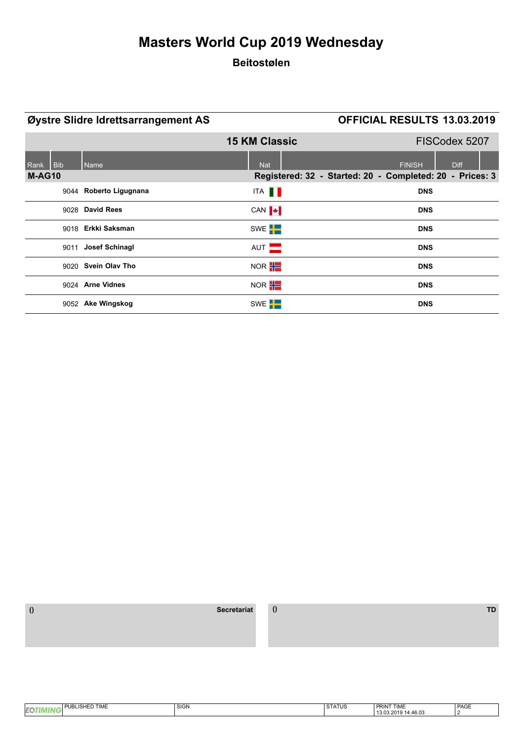### **Beitostølen**

| Øystre Slidre Idrettsarrangement AS |                        | <b>OFFICIAL RESULTS 13.03.2019</b> |                                                          |
|-------------------------------------|------------------------|------------------------------------|----------------------------------------------------------|
|                                     |                        | <b>15 KM Classic</b>               | FISCodex 5207                                            |
| <b>Bib</b><br>Rank                  | Name                   | <b>Nat</b>                         | <b>FINISH</b><br><b>Diff</b>                             |
| M-AG10                              |                        |                                    | Registered: 32 - Started: 20 - Completed: 20 - Prices: 3 |
|                                     | 9044 Roberto Ligugnana | ITA <b>II</b>                      | <b>DNS</b>                                               |
|                                     | 9028 David Rees        | CAN $\blacktriangleright$          | <b>DNS</b>                                               |
|                                     | 9018 Erkki Saksman     | SWE <sup>T</sup>                   | <b>DNS</b>                                               |
|                                     | 9011 Josef Schinagl    | AUT <b>N</b>                       | <b>DNS</b>                                               |
|                                     | 9020 Svein Olav Tho    | NOR <b>H</b>                       | <b>DNS</b>                                               |
|                                     | 9024 Arne Vidnes       | NOR <b>H</b>                       | <b>DNS</b>                                               |
|                                     | 9052 Ake Wingskog      | SWE <sup>I</sup> -                 | <b>DNS</b>                                               |

| <b>TIME</b> | SIGN | T1C<br>⊴ ГД<br>31A103 | <b>TIME</b><br>P.<br><b>PRIN</b>          | PAGE |
|-------------|------|-----------------------|-------------------------------------------|------|
| <b>IEQ</b>  |      |                       | <b>1110</b><br>10.U.<br>- 10.00<br>$\sim$ |      |
|             |      |                       |                                           |      |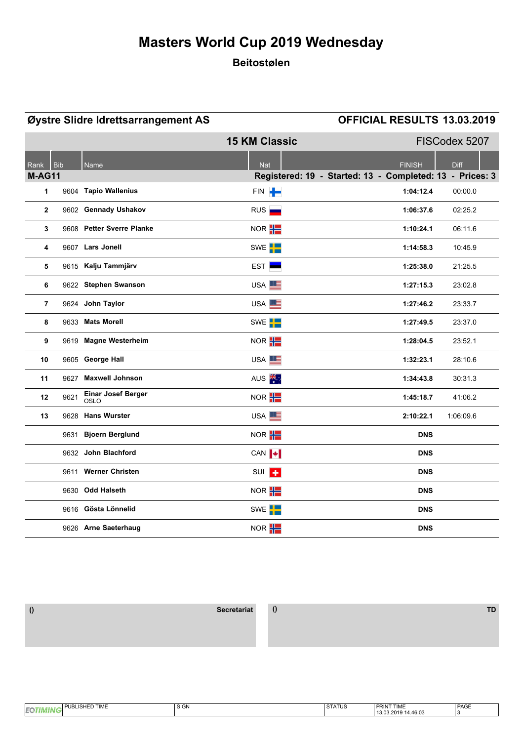### **Beitostølen**

|                |            | Øystre Slidre Idrettsarrangement AS |                           | <b>OFFICIAL RESULTS 13.03.2019</b>                       |               |
|----------------|------------|-------------------------------------|---------------------------|----------------------------------------------------------|---------------|
|                |            |                                     | <b>15 KM Classic</b>      |                                                          | FISCodex 5207 |
| Rank           | <b>Bib</b> | <b>Name</b>                         | <b>Nat</b>                | <b>FINISH</b>                                            | Diff          |
| <b>M-AG11</b>  |            |                                     |                           | Registered: 19 - Started: 13 - Completed: 13 - Prices: 3 |               |
| 1              |            | 9604 Tapio Wallenius                | FIN P                     | 1:04:12.4                                                | 00:00.0       |
| $\overline{2}$ |            | 9602 Gennady Ushakov                | RUS                       | 1:06:37.6                                                | 02:25.2       |
| 3              |            | 9608 Petter Sverre Planke           | NOR <b>H</b>              | 1:10:24.1                                                | 06:11.6       |
| 4              |            | 9607 Lars Jonell                    | SWE <sup>L</sup>          | 1:14:58.3                                                | 10:45.9       |
| 5              |            | 9615 Kalju Tammjärv                 | EST <b>Exe</b>            | 1:25:38.0                                                | 21:25.5       |
| 6              |            | 9622 Stephen Swanson                | USA <sup>EE</sup>         | 1:27:15.3                                                | 23:02.8       |
| 7              |            | 9624 John Taylor                    | USA <sup>ES</sup>         | 1:27:46.2                                                | 23:33.7       |
| 8              |            | 9633 Mats Morell                    | SWE <sup>L</sup>          | 1:27:49.5                                                | 23:37.0       |
| 9              |            | 9619 Magne Westerheim               | NOR <b>H</b>              | 1:28:04.5                                                | 23:52.1       |
| 10             |            | 9605 George Hall                    | USA <sup>E</sup>          | 1:32:23.1                                                | 28:10.6       |
| 11             |            | 9627 Maxwell Johnson                | AUS <sup>**</sup>         | 1:34:43.8                                                | 30:31.3       |
| 12             | 9621       | <b>Einar Josef Berger</b><br>OSLO   | NOR H                     | 1:45:18.7                                                | 41:06.2       |
| 13             |            | 9628 Hans Wurster                   | USA <sup>E</sup>          | 2:10:22.1                                                | 1:06:09.6     |
|                |            | 9631 Bjoern Berglund                | NOR <b>H</b>              | <b>DNS</b>                                               |               |
|                |            | 9632 John Blachford                 | CAN $\blacktriangleright$ | <b>DNS</b>                                               |               |
|                | 9611       | <b>Werner Christen</b>              | SUI <sup>T</sup>          | <b>DNS</b>                                               |               |
|                |            | 9630 Odd Halseth                    | NOR <b>H</b>              | <b>DNS</b>                                               |               |
|                |            | 9616 Gösta Lönnelid                 | SWE <sup>L</sup>          | <b>DNS</b>                                               |               |
|                |            | 9626 Arne Saeterhaug                | NOR <sup>H</sup>          | <b>DNS</b>                                               |               |

| <b>ISHED TIME</b><br>I PHR'<br>BLISF | <b>SIGN</b> | $Q = \lambda + 16$<br>SIAIUS | <b>PRINT TIME</b>                                        | DA OF<br>PAGE |
|--------------------------------------|-------------|------------------------------|----------------------------------------------------------|---------------|
| . .                                  |             |                              | 14.46.03<br>2019<br>$\overline{a}$<br>$\sim$<br>ے.دن ردا |               |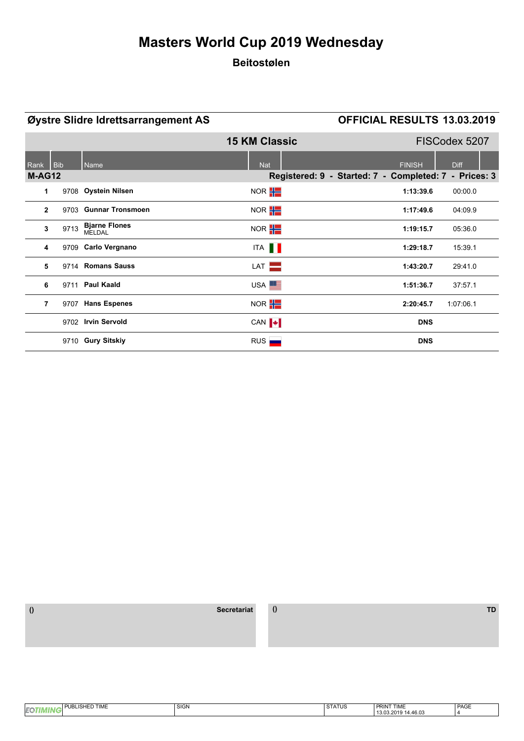### **Beitostølen**

| Øystre Slidre Idrettsarrangement AS |      |                                | <b>OFFICIAL RESULTS 13.03.2019</b> |                                           |               |
|-------------------------------------|------|--------------------------------|------------------------------------|-------------------------------------------|---------------|
|                                     |      |                                | <b>15 KM Classic</b>               |                                           | FISCodex 5207 |
| Rank                                | Bib  | Name                           | <b>Nat</b>                         | <b>FINISH</b>                             | <b>Diff</b>   |
| <b>M-AG12</b>                       |      |                                |                                    | Registered: 9 - Started: 7 - Completed: 7 | - Prices: 3   |
| 1                                   |      | 9708 Oystein Nilsen            | NOR <b>H</b>                       | 1:13:39.6                                 | 00:00.0       |
| $\mathbf{2}$                        |      | 9703 Gunnar Tronsmoen          | NOR $\frac{1}{1}$                  | 1:17:49.6                                 | 04:09.9       |
| 3                                   | 9713 | <b>Bjarne Flones</b><br>MELDAL | NOR <b>H</b>                       | 1:19:15.7                                 | 05:36.0       |
| 4                                   |      | 9709 Carlo Vergnano            | ITA <b>II</b>                      | 1:29:18.7                                 | 15:39.1       |
| 5                                   |      | 9714 Romans Sauss              | LAT                                | 1:43:20.7                                 | 29:41.0       |
| 6                                   |      | 9711 Paul Kaald                | USA <sup>EE</sup>                  | 1:51:36.7                                 | 37:57.1       |
| 7                                   |      | 9707 Hans Espenes              | NOR <b>H</b>                       | 2:20:45.7                                 | 1:07:06.1     |
|                                     |      | 9702 Irvin Servold             | CAN $\ \cdot\ $                    |                                           | <b>DNS</b>    |
|                                     |      | 9710 Gury Sitskiy              | RUS                                |                                           | <b>DNS</b>    |

| <b>TIME</b><br>. | SIGN | <b>CTATIIC</b><br>≺ I А<br>ט ואוי | ' TIME<br>Ë<br>PRIN             | PAGE |
|------------------|------|-----------------------------------|---------------------------------|------|
| <b>IEQ</b>       |      |                                   | ,,,,,,<br>1.3.1<br>tv.v.<br>. . |      |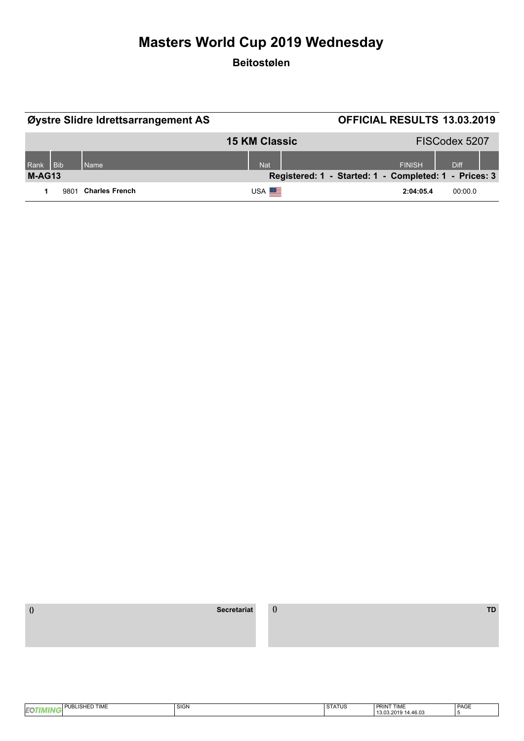#### **Beitostølen**

|          |            | Øystre Slidre Idrettsarrangement AS |                      |                                                       | <b>OFFICIAL RESULTS 13.03.2019</b> |               |
|----------|------------|-------------------------------------|----------------------|-------------------------------------------------------|------------------------------------|---------------|
|          |            |                                     | <b>15 KM Classic</b> |                                                       |                                    | FISCodex 5207 |
| Rank     | <b>Bib</b> | <b>Name</b>                         | <b>Nat</b>           |                                                       | <b>FINISH</b>                      | <b>Diff</b>   |
| $M-AG13$ |            |                                     |                      | Registered: 1 - Started: 1 - Completed: 1 - Prices: 3 |                                    |               |
|          | 9801       | <b>Charles French</b>               | USA <sup>EL</sup>    |                                                       | 2:04:05.4                          | 00:00.0       |

| $ -$<br>$- \cdot -$<br>.ISHE<br>.<br>. .<br>I IME<br>the contract of the contract of the contract of the contract of the contract of the contract of the contract of | <b>SIGN</b> | $\sim$<br>. SIAIUS | DOILIT TILLE<br><b>PRIN</b><br>I IME  | PAGE |
|----------------------------------------------------------------------------------------------------------------------------------------------------------------------|-------------|--------------------|---------------------------------------|------|
|                                                                                                                                                                      |             |                    | 13.03.2011<br>.<br>14.46.03<br>$\sim$ |      |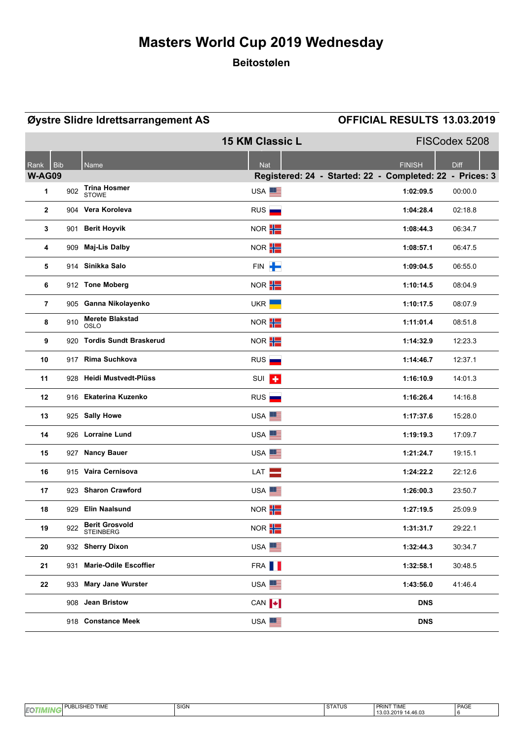### **Beitostølen**

|                    |     | Øystre Slidre Idrettsarrangement AS       |                        | <b>OFFICIAL RESULTS 13.03.2019</b>                       |
|--------------------|-----|-------------------------------------------|------------------------|----------------------------------------------------------|
|                    |     |                                           | <b>15 KM Classic L</b> | FISCodex 5208                                            |
| <b>Bib</b><br>Rank |     | Name                                      | <b>Nat</b>             | <b>Diff</b><br><b>FINISH</b>                             |
| <b>W-AG09</b>      |     |                                           |                        | Registered: 24 - Started: 22 - Completed: 22 - Prices: 3 |
| 1                  | 902 | <b>Trina Hosmer</b><br><b>STOWE</b>       | USA <sup>EE</sup>      | 1:02:09.5<br>00:00.0                                     |
| $\overline{2}$     |     | 904 Vera Koroleva                         | RUS                    | 1:04:28.4<br>02:18.8                                     |
| 3                  |     | 901 Berit Hoyvik                          | NOR <b>H</b>           | 1:08:44.3<br>06:34.7                                     |
| 4                  |     | 909 Maj-Lis Dalby                         | NOR <b>H</b>           | 1:08:57.1<br>06:47.5                                     |
| 5                  |     | 914 Sinikka Salo                          | FIN P                  | 1:09:04.5<br>06:55.0                                     |
| 6                  |     | 912 Tone Moberg                           | NOR <b>H</b>           | 1:10:14.5<br>08:04.9                                     |
| $\overline{7}$     |     | 905 Ganna Nikolayenko                     | UKR <sup>I</sup>       | 1:10:17.5<br>08:07.9                                     |
| 8                  | 910 | <b>Merete Blakstad</b><br><b>OSLO</b>     | NOR <b>H</b>           | 1:11:01.4<br>08.51.8                                     |
| 9                  |     | 920 Tordis Sundt Braskerud                | NOR <b>H</b>           | 1:14:32.9<br>12:23.3                                     |
| 10                 |     | 917 Rima Suchkova                         | RUS                    | 12:37.1<br>1:14:46.7                                     |
| 11                 |     | 928 Heidi Mustvedt-Plüss                  | SUI <sup>+</sup>       | 1:16:10.9<br>14:01.3                                     |
| 12                 |     | 916 Ekaterina Kuzenko                     | RUS                    | 1:16:26.4<br>14:16.8                                     |
| 13                 |     | 925 Sally Howe                            | USA <sup>EE</sup>      | 1:17:37.6<br>15:28.0                                     |
| 14                 |     | 926 Lorraine Lund                         | USA <sup>E</sup>       | 1:19:19.3<br>17:09.7                                     |
| 15                 |     | 927 Nancy Bauer                           | USA <sup>EE</sup>      | 1:21:24.7<br>19.15.1                                     |
| 16                 |     | 915 Vaira Cernisova                       | LAT                    | 1:24:22.2<br>22:12.6                                     |
| 17                 |     | 923 Sharon Crawford                       | USA <sup>E</sup>       | 1:26:00.3<br>23:50.7                                     |
| 18                 |     | 929 Elin Naalsund                         | NOR <sup>T</sup>       | 1:27:19.5<br>25:09.9                                     |
| 19                 | 922 | <b>Berit Grosvold</b><br><b>STEINBERG</b> | NOR <b>H</b>           | 1:31:31.7<br>29:22.1                                     |
| 20                 |     | 932 Sherry Dixon                          | USA <sup>ES</sup>      | 1:32:44.3<br>30:34.7                                     |
| 21                 |     | 931 Marie-Odile Escoffier                 | FRA <b>II</b>          | 1:32:58.1<br>30:48.5                                     |
| 22                 |     | 933 Mary Jane Wurster                     | USA <sup>EE</sup>      | 1:43:56.0<br>41.46.4                                     |
|                    |     | 908 Jean Bristow                          | CAN $\ \cdot\ $        | <b>DNS</b>                                               |
|                    |     | 918 Constance Meek                        | USA <sup>E</sup>       | <b>DNS</b>                                               |

| $-0.7111$<br>DI<br>$\cdot$ $\sim$<br>! IME<br>--<br>۱в<br><b>IEQ</b> | $\sim$<br>- 11 - N<br>יוטוט | $\sim$<br>181 U.S<br>◡ | I PRINT <sup>-</sup><br><b>TIA AFT</b><br>1 IME | PAGE |
|----------------------------------------------------------------------|-----------------------------|------------------------|-------------------------------------------------|------|
|                                                                      |                             |                        | .46.03<br>^∩ ⊁ .<br>.                           |      |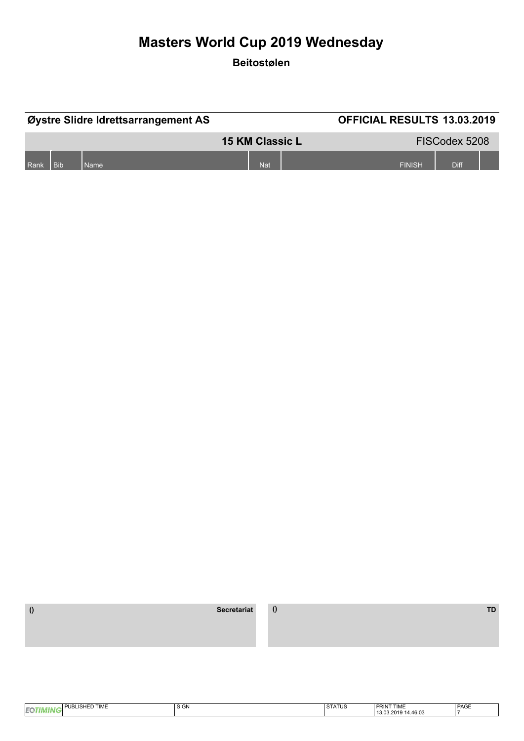**Beitostølen**

| Øystre Slidre Idrettsarrangement AS |            |      |                        | <b>OFFICIAL RESULTS 13.03.2019</b> |               |  |
|-------------------------------------|------------|------|------------------------|------------------------------------|---------------|--|
|                                     |            |      | <b>15 KM Classic L</b> |                                    | FISCodex 5208 |  |
| Rank                                | <b>Bib</b> | Name | <b>Nat</b>             | <b>FINISH</b>                      | Diff          |  |

| TIME<br><br>ישו<br>IЕ | SIGN | <b>CTATIIQ</b><br>51AIUS | <b>PRINT TIME</b>       | PAGE |
|-----------------------|------|--------------------------|-------------------------|------|
|                       |      |                          | 130.<br>14.46.0<br>2010 |      |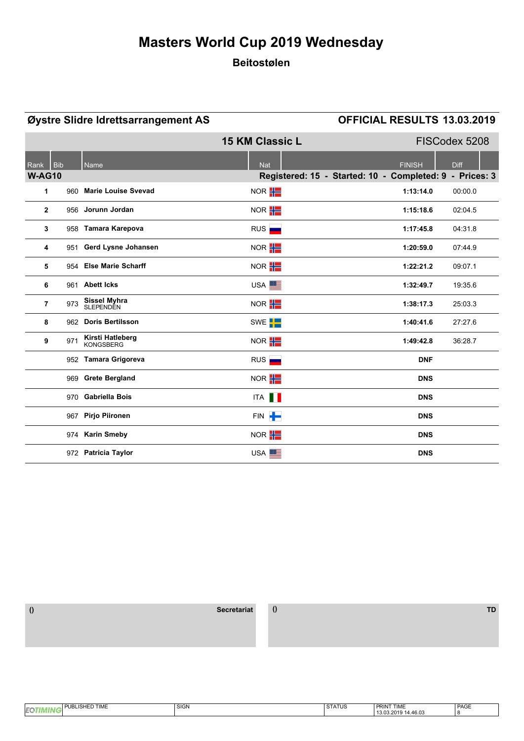### **Beitostølen**

|                |       | Øystre Slidre Idrettsarrangement AS  |                        | OFFICIAL RESULTS 13.03.2019                             |
|----------------|-------|--------------------------------------|------------------------|---------------------------------------------------------|
|                |       |                                      | <b>15 KM Classic L</b> | FISCodex 5208                                           |
| Rank           | l Bib | Name                                 | <b>Nat</b>             | <b>Diff</b><br><b>FINISH</b>                            |
| <b>W-AG10</b>  |       |                                      |                        | Registered: 15 - Started: 10 - Completed: 9 - Prices: 3 |
| 1              |       | 960 Marie Louise Svevad              | NOR <b>H</b>           | 1:13:14.0<br>00:00.0                                    |
| $\overline{2}$ |       | 956 Jorunn Jordan                    | NOR <b>H</b>           | 1:15:18.6<br>02:04.5                                    |
| 3              |       | 958 Tamara Karepova                  | RUS                    | 04:31.8<br>1:17:45.8                                    |
| 4              |       | 951 Gerd Lysne Johansen              | NOR $\frac{1}{1}$      | 1:20:59.0<br>07:44.9                                    |
| 5              |       | 954 Else Marie Scharff               | NOR <b>H</b>           | 1:22:21.2<br>09:07.1                                    |
| 6              |       | 961 Abett Icks                       | USA <sup>E</sup>       | 1:32:49.7<br>19:35.6                                    |
| $\overline{7}$ | 973   | Sissel Myhra<br>SLEPENDEN            | NOR <b>H</b>           | 1:38:17.3<br>25:03.3                                    |
| 8              |       | 962 Doris Bertilsson                 | SWE <sup>T</sup>       | 1:40:41.6<br>27:27.6                                    |
| 9              | 971   | Kirsti Hatleberg<br><b>KONGSBERG</b> | NOR <b>H</b>           | 1:49:42.8<br>36:28.7                                    |
|                |       | 952 Tamara Grigoreva                 | RUS                    | <b>DNF</b>                                              |
|                |       | 969 Grete Bergland                   | NOR $\frac{1}{1}$      | <b>DNS</b>                                              |
|                |       | 970 Gabriella Bois                   | ITA <b>II</b>          | <b>DNS</b>                                              |
|                |       | 967 Pirjo Piironen                   | FIN P                  | <b>DNS</b>                                              |
|                |       | 974 Karin Smeby                      | NOR $\frac{1}{1}$      | <b>DNS</b>                                              |
|                |       | 972 Patricia Taylor                  | USA <sup>E</sup>       | <b>DNS</b>                                              |

 **() Secretariat () TD**

| <b>HED TIME</b><br><b>DIRI</b><br>' ISHF | SIGN | <b>CTATIIC</b><br><b>SIAIUS</b> | PRINT TIME<br>PRINT.   | PAGE |
|------------------------------------------|------|---------------------------------|------------------------|------|
| <b>EQT</b>                               |      |                                 | 14.46.03<br>13.03.2019 |      |
|                                          |      |                                 |                        |      |